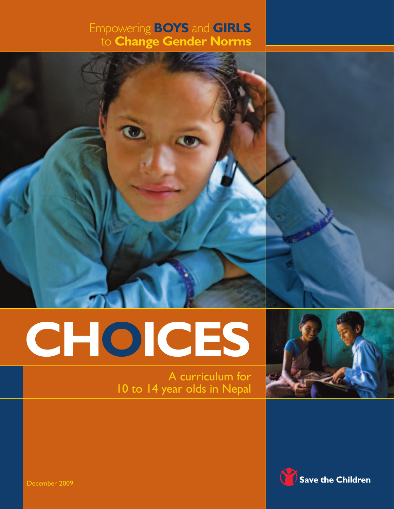### Empowering **BOYS** and **GIRLS** to **Change Gender Norms**

# **CHOICES**

A curriculum for 10 to 14 year olds in Nepal





December 2009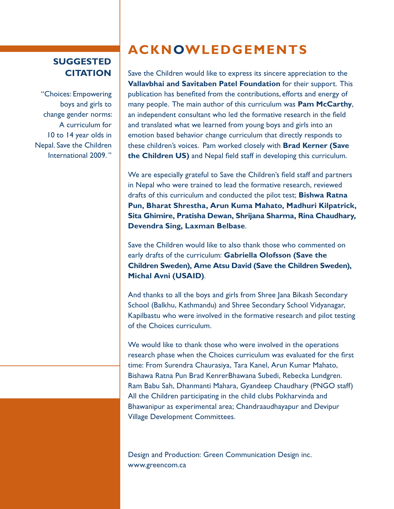### **SUGGESTED CITATION**

"Choices: Empowering boys and girls to change gender norms: A curriculum for 10 to 14 year olds in Nepal. Save the Children International 2009. "

### **ACKNOWLEDGEMENTS**

Save the Children would like to express its sincere appreciation to the **Vallavbhai and Savitaben Patel Foundation** for their support. This publication has benefited from the contributions, efforts and energy of many people. The main author of this curriculum was **Pam McCarthy**, an independent consultant who led the formative research in the field and translated what we learned from young boys and girls into an emotion based behavior change curriculum that directly responds to these children's voices. Pam worked closely with **Brad Kerner (Save the Children US)** and Nepal field staff in developing this curriculum.

We are especially grateful to Save the Children's field staff and partners in Nepal who were trained to lead the formative research, reviewed drafts of this curriculum and conducted the pilot test; **Bishwa Ratna Pun, Bharat Shrestha, Arun Kuma Mahato, Madhuri Kilpatrick, Sita Ghimire, Pratisha Dewan, Shrijana Sharma, Rina Chaudhary, Devendra Sing, Laxman Belbase**.

Save the Children would like to also thank those who commented on early drafts of the curriculum: **Gabriella Olofsson (Save the Children Sweden), Ame Atsu David (Save the Children Sweden), Michal Avni (USAID)**.

And thanks to all the boys and girls from Shree Jana Bikash Secondary School (Balkhu, Kathmandu) and Shree Secondary School Vidyanagar, Kapilbastu who were involved in the formative research and pilot testing of the Choices curriculum.

We would like to thank those who were involved in the operations research phase when the Choices curriculum was evaluated for the first time: From Surendra Chaurasiya, Tara Kanel, Arun Kumar Mahato, Bishawa Ratna Pun Brad KenrerBhawana Subedi, Rebecka Lundgren. Ram Babu Sah, Dhanmanti Mahara, Gyandeep Chaudhary (PNGO staff) All the Children participating in the child clubs Pokharvinda and Bhawanipur as experimental area; Chandraaudhayapur and Devipur Village Development Committees.

Design and Production: Green Communication Design inc. www.greencom.ca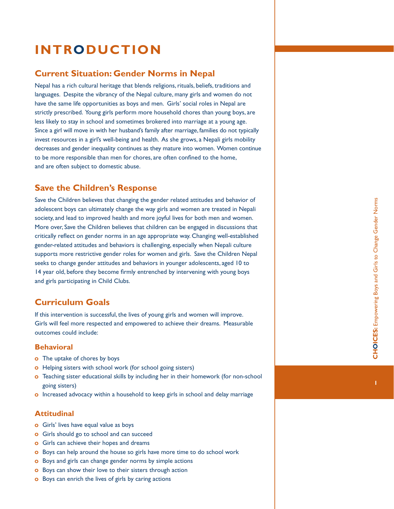### **INTR ODUCTION**

### **Current Situation: Gender Norms in Nepal**

Nepal has a rich cultural heritage that blends religions, rituals, beliefs, traditions and languages. Despite the vibrancy of the Nepal culture, many girls and women do not have the same life opportunities as boys and men. Girls' social roles in Nepal are strictly prescribed. Young girls perform more household chores than young boys, are less likely to stay in school and sometimes brokered into marriage at a young age. Since a girl will move in with her husband's family after marriage, families do not typically invest resources in a girl's well-being and health. As she grows, a Nepali girls mobility decreases and gender inequality continues as they mature into women. Women continue to be more responsible than men for chores, are often confined to the home, and are often subject to domestic abuse.

### **Save the Children's Response**

Save the Children believes that changing the gender related attitudes and behavior of adolescent boys can ultimately change the way girls and women are treated in Nepali society, and lead to improved health and more joyful lives for both men and women. More over, Save the Children believes that children can be engaged in discussions that critically reflect on gender norms in an age appropriate way. Changing well-established gender-related attitudes and behaviors is challenging, especially when Nepali culture supports more restrictive gender roles for women and girls. Save the Children Nepal seeks to change gender attitudes and behaviors in younger adolescents, aged 10 to 14 year old, before they become firmly entrenched by intervening with young boys and girls participating in Child Clubs.

### **Curriculum Goals**

If this intervention is successful, the lives of young girls and women will improve. Girls will feel more respected and empowered to achieve their dreams. Measurable outcomes could include:

### **Behavioral**

- o The uptake of chores by boys
- o Helping sisters with school work (for school going sisters)
- **o** Teaching sister educational skills by including her in their homework (for non-school going sisters)
- o Increased advocacy within a household to keep girls in school and delay marriage

### **Attitudinal**

- **o** Girls' lives have equal value as boys
- **o** Girls should go to school and can succeed
- Girls can achieve their hopes and dreams
- o Boys can help around the house so girls have more time to do school work
- o Boys and girls can change gender norms by simple actions
- **o** Boys can show their love to their sisters through action
- **o** Boys can enrich the lives of girls by caring actions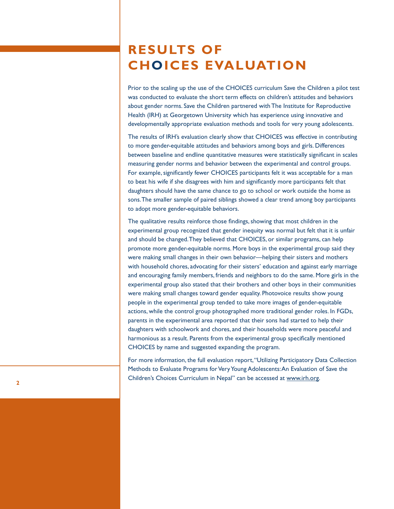### **RESULTS OF CHOICES EVALUATION**

Prior to the scaling up the use of the CHOICES curriculum Save the Children a pilot test was conducted to evaluate the short term effects on children's attitudes and behaviors about gender norms. Save the Children partnered with The Institute for Reproductive Health (IRH) at Georgetown University which has experience using innovative and developmentally appropriate evaluation methods and tools for very young adolescents.

The results of IRH's evaluation clearly show that CHOICES was effective in contributing to more gender-equitable attitudes and behaviors among boys and girls. Differences between baseline and endline quantitative measures were statistically significant in scales measuring gender norms and behavior between the experimental and control groups. For example, significantly fewer CHOICES participants felt it was acceptable for a man to beat his wife if she disagrees with him and significantly more participants felt that daughters should have the same chance to go to school or work outside the home as sons. The smaller sample of paired siblings showed a clear trend among boy participants to adopt more gender-equitable behaviors.

The qualitative results reinforce those findings, showing that most children in the experimental group recognized that gender inequity was normal but felt that it is unfair and should be changed. They believed that CHOICES, or similar programs, can help promote more gender-equitable norms. More boys in the experimental group said they were making small changes in their own behavior—helping their sisters and mothers with household chores, advocating for their sisters' education and against early marriage and encouraging family members, friends and neighbors to do the same. More girls in the experimental group also stated that their brothers and other boys in their communities were making small changes toward gender equality. Photovoice results show young people in the experimental group tended to take more images of gender-equitable actions, while the control group photographed more traditional gender roles. In FGDs, parents in the experimental area reported that their sons had started to help their daughters with schoolwork and chores, and their households were more peaceful and harmonious as a result. Parents from the experimental group specifically mentioned CHOICES by name and suggested expanding the program.

For more information, the full evaluation report, "Utilizing Participatory Data Collection Methods to Evaluate Programs for Very Young Adolescents: An Evaluation of Save the Children's Choices Curriculum in Nepal" can be accessed at www.irh.org.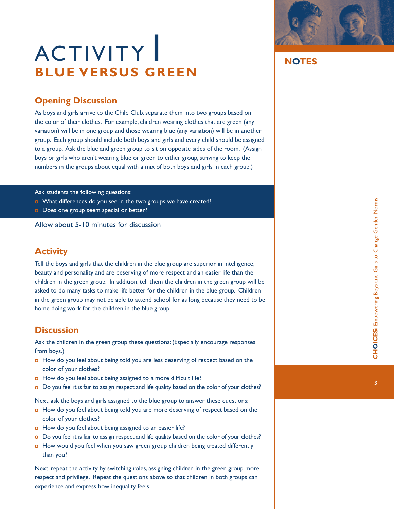# ACTIVITY<sup>1</sup> **BLUE VERSUS GREEN**

### **Opening Discussion**

As boys and girls arrive to the Child Club, separate them into two groups based on the color of their clothes. For example, children wearing clothes that are green (any variation) will be in one group and those wearing blue (any variation) will be in another group. Each group should include both boys and girls and every child should be assigned to a group. Ask the blue and green group to sit on opposite sides of the room. (Assign boys or girls who aren't wearing blue or green to either group, striving to keep the numbers in the groups about equal with a mix of both boys and girls in each group.)

### Ask students the following questions:

- o What differences do you see in the two groups we have created?
- o Does one group seem special or better?

Allow about 5-10 minutes for discussion

### **Activity**

Tell the boys and girls that the children in the blue group are superior in intelligence, beauty and personality and are deserving of more respect and an easier life than the children in the green group. In addition, tell them the children in the green group will be asked to do many tasks to make life better for the children in the blue group. Children in the green group may not be able to attend school for as long because they need to be home doing work for the children in the blue group.

### **Discussion**

Ask the children in the green group these questions: (Especially encourage responses from boys.)

- o How do you feel about being told you are less deserving of respect based on the color of your clothes?
- o How do you feel about being assigned to a more difficult life?
- o Do you feel it is fair to assign respect and life quality based on the color of your clothes?

Next, ask the boys and girls assigned to the blue group to answer these questions:

- o How do you feel about being told you are more deserving of respect based on the color of your clothes?
- o How do you feel about being assigned to an easier life?
- o Do you feel it is fair to assign respect and life quality based on the color of your clothes?
- o How would you feel when you saw green group children being treated differently than you?

Next, repeat the activity by switching roles, assigning children in the green group more respect and privilege. Repeat the questions above so that children in both groups can experience and express how inequality feels.

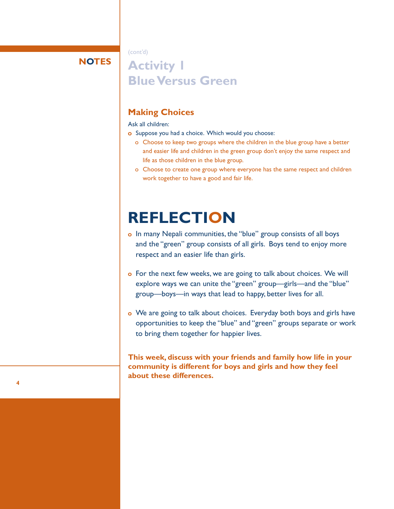### **NOTES**

### **Activity 1 Blue Versus Green**

### **Making Choices**

Ask all children:

(cont'd)

- o Suppose you had a choice. Which would you choose:
	- o Choose to keep two groups where the children in the blue group have a better and easier life and children in the green group don't enjoy the same respect and life as those children in the blue group.
	- o Choose to create one group where everyone has the same respect and children work together to have a good and fair life.

### **REFLECTION**

- o In many Nepali communities, the "blue" group consists of all boys and the "green" group consists of all girls. Boys tend to enjoy more respect and an easier life than girls.
- o For the next few weeks, we are going to talk about choices. We will explore ways we can unite the "green" group—girls—and the "blue" group—boys—in ways that lead to happy, better lives for all.
- o We are going to talk about choices. Everyday both boys and girls have opportunities to keep the "blue" and "green" groups separate or work to bring them together for happier lives.

**This week, discuss with your friends and family how life in your community is different for boys and girls and how they feel about these differences.**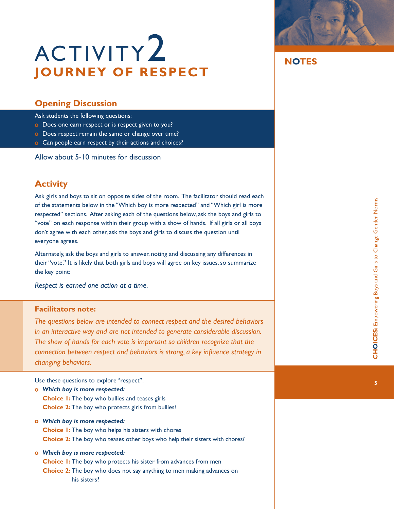# ACTIVITY<sup>2</sup> NOTES **JOURNEY OF RESPECT**

### **Opening Discussion**

Ask students the following questions:

- o Does one earn respect or is respect given to you?
- O Does respect remain the same or change over time?
- **o** Can people earn respect by their actions and choices?

Allow about 5-10 minutes for discussion

### **Activity**

Ask girls and boys to sit on opposite sides of the room. The facilitator should read each of the statements below in the "Which boy is more respected" and "Which girl is more respected" sections. After asking each of the questions below, ask the boys and girls to "vote" on each response within their group with a show of hands. If all girls or all boys don't agree with each other, ask the boys and girls to discuss the question until everyone agrees.

Alternately, ask the boys and girls to answer, noting and discussing any differences in their "vote." It is likely that both girls and boys will agree on key issues, so summarize the key point:

*Respect is earned one action at a time.*

### **Facilitators note:**

*The questions below are intended to connect respect and the desired behaviors in an interactive way and are not intended to generate considerable discussion. The show of hands for each vote is important so children recognize that the connection between respect and behaviors is strong, a key influence strategy in changing behaviors.* 

Use these questions to explore "respect":

*Which boy is more respected:*

**Choice 1:** The boy who bullies and teases girls **Choice 2:** The boy who protects girls from bullies?

- *Which boy is more respected:*  **Choice 1:** The boy who helps his sisters with chores **Choice 2:** The boy who teases other boys who help their sisters with chores?
- *Which boy is more respected:*

**Choice 1:** The boy who protects his sister from advances from men **Choice 2:** The boy who does not say anything to men making advances on his sisters?

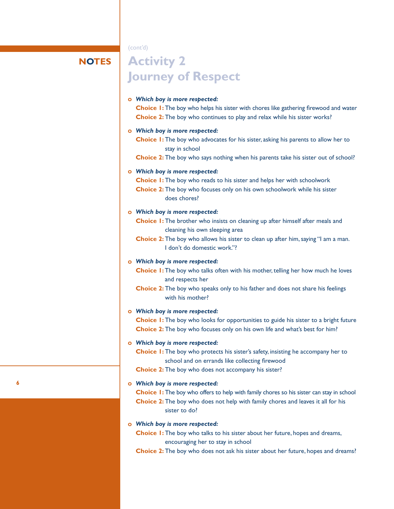(cont'd)

**NOTES**

### **Activity 2 Journey of Respect**

### *Which boy is more respected:*

**Choice 1:** The boy who helps his sister with chores like gathering firewood and water **Choice 2:** The boy who continues to play and relax while his sister works?

### *Which boy is more respected:*

**Choice 1:** The boy who advocates for his sister, asking his parents to allow her to stay in school

**Choice 2:** The boy who says nothing when his parents take his sister out of school?

#### *Which boy is more respected:*

**Choice 1:** The boy who reads to his sister and helps her with schoolwork **Choice 2:** The boy who focuses only on his own schoolwork while his sister does chores?

#### *Which boy is more respected:*

**Choice 1:** The brother who insists on cleaning up after himself after meals and cleaning his own sleeping area

**Choice 2:** The boy who allows his sister to clean up after him, saying "I am a man. I don't do domestic work."?

### *Which boy is more respected:*

**Choice 1:** The boy who talks often with his mother, telling her how much he loves and respects her

**Choice 2:** The boy who speaks only to his father and does not share his feelings with his mother?

### *Which boy is more respected:*

**Choice 1:** The boy who looks for opportunities to guide his sister to a bright future **Choice 2:** The boy who focuses only on his own life and what's best for him?

### *Which boy is more respected:*

**Choice 1:** The boy who protects his sister's safety, insisting he accompany her to school and on errands like collecting firewood

**Choice 2:** The boy who does not accompany his sister?

#### *Which boy is more respected:*

**Choice 1:** The boy who offers to help with family chores so his sister can stay in school **Choice 2:** The boy who does not help with family chores and leaves it all for his sister to do?

### *Which boy is more respected:*

**Choice I:** The boy who talks to his sister about her future, hopes and dreams, encouraging her to stay in school

**Choice 2:** The boy who does not ask his sister about her future, hopes and dreams?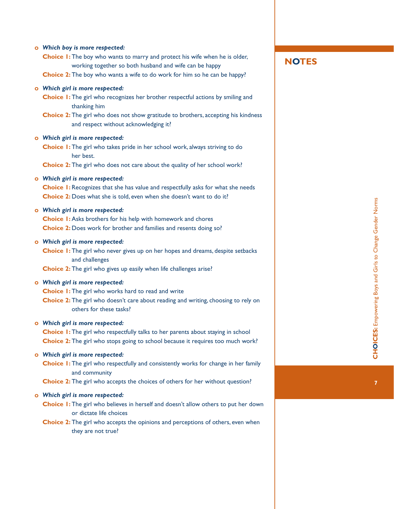### *Which boy is more respected:*

**Choice 1:** The boy who wants to marry and protect his wife when he is older, working together so both husband and wife can be happy

**Choice 2:** The boy who wants a wife to do work for him so he can be happy?

### *Which girl is more respected:*

**Choice 1:** The girl who recognizes her brother respectful actions by smiling and thanking him

**Choice 2:** The girl who does not show gratitude to brothers, accepting his kindness and respect without acknowledging it?

### *Which girl is more respected:*

**Choice 1:** The girl who takes pride in her school work, always striving to do her best.

**Choice 2:** The girl who does not care about the quality of her school work?

#### *Which girl is more respected:*

**Choice 1:** Recognizes that she has value and respectfully asks for what she needs **Choice 2:** Does what she is told, even when she doesn't want to do it?

#### *Which girl is more respected:*

**Choice I:** Asks brothers for his help with homework and chores **Choice 2:** Does work for brother and families and resents doing so?

#### *Which girl is more respected:*

**Choice 1:** The girl who never gives up on her hopes and dreams, despite setbacks and challenges

**Choice 2:** The girl who gives up easily when life challenges arise?

### *Which girl is more respected:*

**Choice 1:** The girl who works hard to read and write

**Choice 2:** The girl who doesn't care about reading and writing, choosing to rely on others for these tasks?

### *Which girl is more respected:*

**Choice 1:** The girl who respectfully talks to her parents about staying in school **Choice 2:** The girl who stops going to school because it requires too much work?

### *Which girl is more respected:*

**Choice 1:** The girl who respectfully and consistently works for change in her family and community

**Choice 2:** The girl who accepts the choices of others for her without question?

#### *Which girl is more respected:*

**Choice 1:** The girl who believes in herself and doesn't allow others to put her down or dictate life choices

**Choice 2:** The girl who accepts the opinions and perceptions of others, even when they are not true?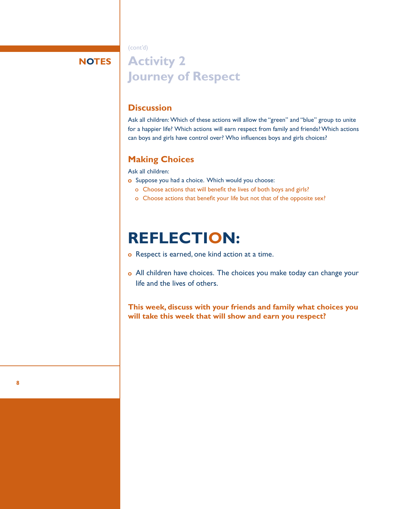(cont'd)

**NOTES**

### **Activity 2 Journey of Respect**

### **Discussion**

Ask all children: Which of these actions will allow the "green" and "blue" group to unite for a happier life? Which actions will earn respect from family and friends? Which actions can boys and girls have control over? Who influences boys and girls choices?

### **Making Choices**

Ask all children:

- o Suppose you had a choice. Which would you choose:
	- o Choose actions that will benefit the lives of both boys and girls?
	- o Choose actions that benefit your life but not that of the opposite sex?

### **REFLECTION:**

o Respect is earned, one kind action at a time.

 All children have choices. The choices you make today can change your life and the lives of others.

**This week, discuss with your friends and family what choices you will take this week that will show and earn you respect?**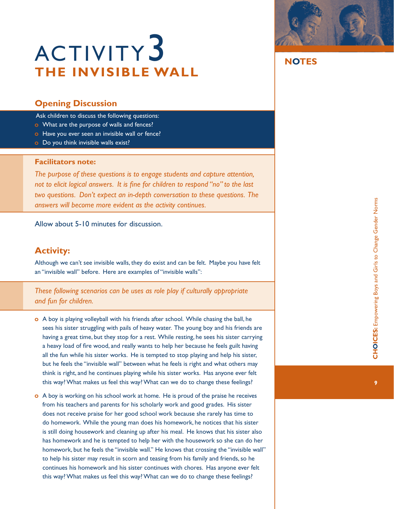# ACTIVITY<sup>3</sup> **THE INVISIBLE WALL**

### **Opening Discussion**

Ask children to discuss the following questions:

- o What are the purpose of walls and fences?
- o Have you ever seen an invisible wall or fence?
- **O** Do you think invisible walls exist?

### **Facilitators note:**

*The purpose of these questions is to engage students and capture attention, not to elicit logical answers. It is fine for children to respond "no" to the last two questions. Don't expect an in-depth conversation to these questions. The answers will become more evident as the activity continues.*

Allow about 5-10 minutes for discussion.

### **Activity:**

Although we can't see invisible walls, they do exist and can be felt. Maybe you have felt an "invisible wall" before. Here are examples of "invisible walls":

*These following scenarios can be uses as role play if culturally appropriate and fun for children.*

- A boy is playing volleyball with his friends after school. While chasing the ball, he sees his sister struggling with pails of heavy water. The young boy and his friends are having a great time, but they stop for a rest. While resting, he sees his sister carrying a heavy load of fire wood, and really wants to help her because he feels guilt having all the fun while his sister works. He is tempted to stop playing and help his sister, but he feels the "invisible wall" between what he feels is right and what others may think is right, and he continues playing while his sister works. Has anyone ever felt this way? What makes us feel this way? What can we do to change these feelings?
- o A boy is working on his school work at home. He is proud of the praise he receives from his teachers and parents for his scholarly work and good grades. His sister does not receive praise for her good school work because she rarely has time to do homework. While the young man does his homework, he notices that his sister is still doing housework and cleaning up after his meal. He knows that his sister also has homework and he is tempted to help her with the housework so she can do her homework, but he feels the "invisible wall." He knows that crossing the "invisible wall" to help his sister may result in scorn and teasing from his family and friends, so he continues his homework and his sister continues with chores. Has anyone ever felt this way? What makes us feel this way? What can we do to change these feelings?

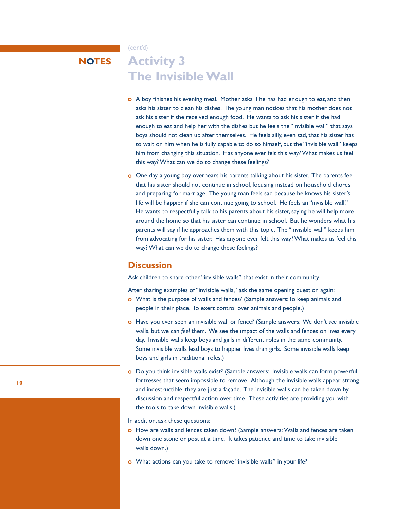(cont'd)

### **NOTES**

### **Activity 3 The Invisible Wall**

- A boy finishes his evening meal. Mother asks if he has had enough to eat, and then asks his sister to clean his dishes. The young man notices that his mother does not ask his sister if she received enough food. He wants to ask his sister if she had enough to eat and help her with the dishes but he feels the "invisible wall" that says boys should not clean up after themselves. He feels silly, even sad, that his sister has to wait on him when he is fully capable to do so himself, but the "invisible wall" keeps him from changing this situation. Has anyone ever felt this way? What makes us feel this way? What can we do to change these feelings?
- One day, a young boy overhears his parents talking about his sister. The parents feel that his sister should not continue in school, focusing instead on household chores and preparing for marriage. The young man feels sad because he knows his sister's life will be happier if she can continue going to school. He feels an "invisible wall." He wants to respectfully talk to his parents about his sister, saying he will help more around the home so that his sister can continue in school. But he wonders what his parents will say if he approaches them with this topic. The "invisible wall" keeps him from advocating for his sister. Has anyone ever felt this way? What makes us feel this way? What can we do to change these feelings?

### **Discussion**

Ask children to share other "invisible walls" that exist in their community.

After sharing examples of "invisible walls," ask the same opening question again:

- What is the purpose of walls and fences? (Sample answers: To keep animals and people in their place. To exert control over animals and people.)
- Have you ever seen an invisible wall or fence? (Sample answers: We don't *see* invisible walls, but we can *feel* them. We see the impact of the walls and fences on lives every day. Invisible walls keep boys and girls in different roles in the same community. Some invisible walls lead boys to happier lives than girls. Some invisible walls keep boys and girls in traditional roles.)
- Do you think invisible walls exist? (Sample answers: Invisible walls can form powerful fortresses that seem impossible to remove. Although the invisible walls appear strong and indestructible, they are just a façade. The invisible walls can be taken down by discussion and respectful action over time. These activities are providing you with the tools to take down invisible walls.)

In addition, ask these questions:

- o How are walls and fences taken down? (Sample answers: Walls and fences are taken down one stone or post at a time. It takes patience and time to take invisible walls down.)
- What actions can you take to remove "invisible walls" in your life?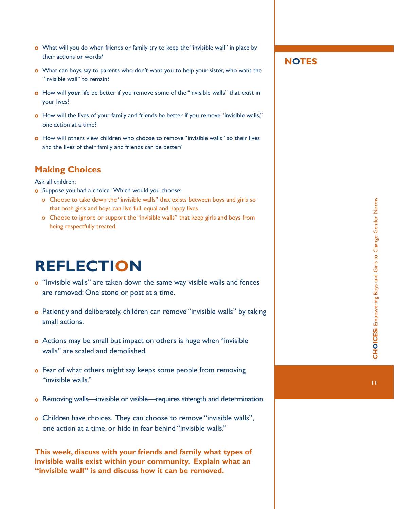- What will you do when friends or family try to keep the "invisible wall" in place by their actions or words?
- o What can boys say to parents who don't want you to help your sister, who want the "invisible wall" to remain?
- **o** How will **your** life be better if you remove some of the "invisible walls" that exist in your lives?
- o How will the lives of your family and friends be better if you remove "invisible walls," one action at a time?
- How will others view children who choose to remove "invisible walls" so their lives and the lives of their family and friends can be better?

### **Making Choices**

Ask all children:

- o Suppose you had a choice. Which would you choose:
	- o Choose to take down the "invisible walls" that exists between boys and girls so that both girls and boys can live full, equal and happy lives.
	- o Choose to ignore or support the "invisible walls" that keep girls and boys from being respectfully treated.

### **REFLECTION**

- o "Invisible walls" are taken down the same way visible walls and fences are removed: One stone or post at a time.
- Patiently and deliberately, children can remove "invisible walls" by taking small actions.
- Actions may be small but impact on others is huge when "invisible walls" are scaled and demolished.
- **o** Fear of what others might say keeps some people from removing "invisible walls."
- Removing walls—invisible or visible—requires strength and determination.
- o Children have choices. They can choose to remove "invisible walls", one action at a time, or hide in fear behind "invisible walls."

**This week, discuss with your friends and family what types of invisible walls exist within your community. Explain what an "invisible wall" is and discuss how it can be removed.** 

### **NOTES**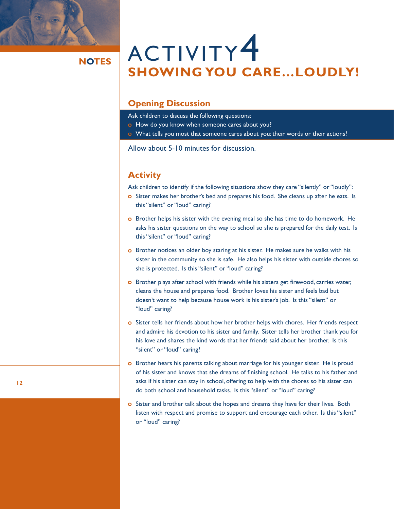

# **NOTES** ACTIVITY<sup>4</sup> **SHOWING YOU CARE…LOUDLY!**

### **Opening Discussion**

Ask children to discuss the following questions:

- o How do you know when someone cares about you?
- o What tells you most that someone cares about you: their words or their actions?

Allow about 5-10 minutes for discussion.

### **Activity**

Ask children to identify if the following situations show they care "silently" or "loudly":

- o Sister makes her brother's bed and prepares his food. She cleans up after he eats. Is this "silent" or "loud" caring?
- o Brother helps his sister with the evening meal so she has time to do homework. He asks his sister questions on the way to school so she is prepared for the daily test. Is this "silent" or "loud" caring?
- o Brother notices an older boy staring at his sister. He makes sure he walks with his sister in the community so she is safe. He also helps his sister with outside chores so she is protected. Is this "silent" or "loud" caring?
- o Brother plays after school with friends while his sisters get firewood, carries water, cleans the house and prepares food. Brother loves his sister and feels bad but doesn't want to help because house work is his sister's job. Is this "silent" or "loud" caring?
- o Sister tells her friends about how her brother helps with chores. Her friends respect and admire his devotion to his sister and family. Sister tells her brother thank you for his love and shares the kind words that her friends said about her brother. Is this "silent" or "loud" caring?
- o Brother hears his parents talking about marriage for his younger sister. He is proud of his sister and knows that she dreams of finishing school. He talks to his father and asks if his sister can stay in school, offering to help with the chores so his sister can do both school and household tasks. Is this "silent" or "loud" caring?
- o Sister and brother talk about the hopes and dreams they have for their lives. Both listen with respect and promise to support and encourage each other. Is this "silent" or "loud" caring?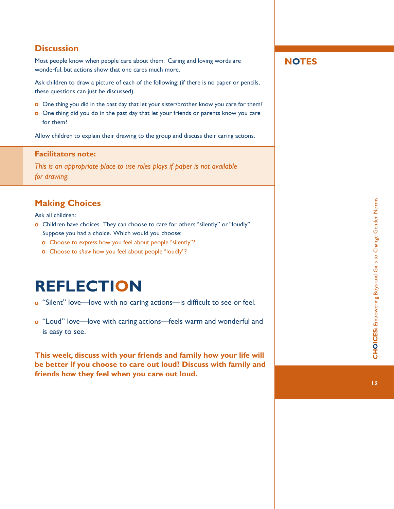### **Discussion**

Most people know when people care about them. Caring and loving words are wonderful, but actions show that one cares much more.

Ask children to draw a picture of each of the following: (if there is no paper or pencils, these questions can just be discussed)

- o One thing you did in the past day that let your sister/brother know you care for them?
- o One thing did you do in the past day that let your friends or parents know you care for them?

Allow children to explain their drawing to the group and discuss their caring actions.

### **Facilitators note:**

*This is an appropriate place to use roles plays if paper is not available for drawing.*

### **Making Choices**

### Ask all children:

- Children have choices. They can choose to care for others "silently" or "loudly". Suppose you had a choice. Which would you choose:
	- Choose to *express* how you feel about people "silently"?
	- Choose to *show* how you feel about people "loudly"?

### **REFLECTION**

- o "Silent" love—love with no caring actions—is difficult to see or feel.
- o "Loud" love—love with caring actions—feels warm and wonderful and is easy to see.

**This week, discuss with your friends and family how your life will be better if you choose to care out loud? Discuss with family and friends how they feel when you care out loud.**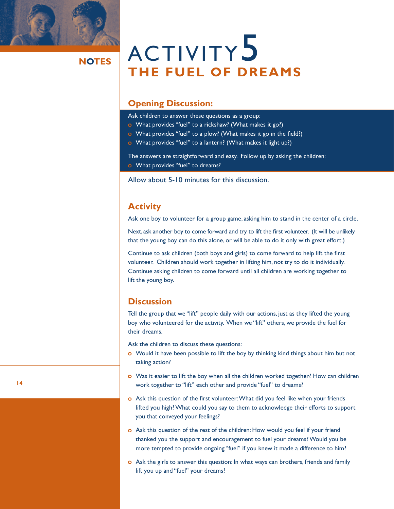

# **NOTES** ACTIVITY<sup>5</sup> **THE FUEL OF DREAMS**

### **Opening Discussion:**

- Ask children to answer these questions as a group:
- What provides "fuel" to a rickshaw? (What makes it go?)
- What provides "fuel" to a plow? (What makes it go in the field?)
- What provides "fuel" to a lantern? (What makes it light up?)

The answers are straightforward and easy. Follow up by asking the children:

**o** What provides "fuel" to dreams?

Allow about 5-10 minutes for this discussion.

### **Activity**

Ask one boy to volunteer for a group game, asking him to stand in the center of a circle.

Next, ask another boy to come forward and try to lift the first volunteer. (It will be unlikely that the young boy can do this alone, or will be able to do it only with great effort.)

Continue to ask children (both boys and girls) to come forward to help lift the first volunteer. Children should work together in lifting him, not try to do it individually. Continue asking children to come forward until all children are working together to lift the young boy.

### **Discussion**

Tell the group that we "lift" people daily with our actions, just as they lifted the young boy who volunteered for the activity. When we "lift" others, we provide the fuel for their dreams.

Ask the children to discuss these questions:

- o Would it have been possible to lift the boy by thinking kind things about him but not taking action?
- Was it easier to lift the boy when all the children worked together? How can children work together to "lift" each other and provide "fuel" to dreams?
- Ask this question of the first volunteer: What did you feel like when your friends lifted you high? What could you say to them to acknowledge their efforts to support you that conveyed your feelings?
- Ask this question of the rest of the children: How would you feel if your friend thanked you the support and encouragement to fuel your dreams? Would you be more tempted to provide ongoing "fuel" if you knew it made a difference to him?
- Ask the girls to answer this question: In what ways can brothers, friends and family lift you up and "fuel" your dreams?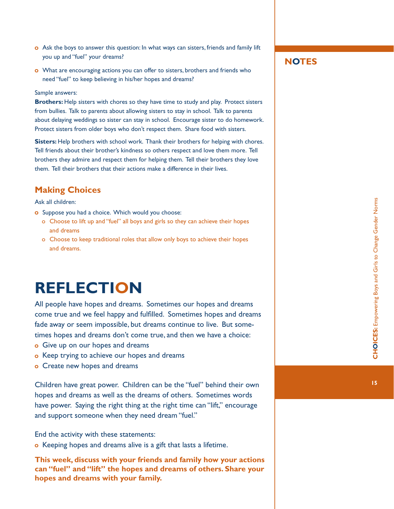- Ask the boys to answer this question: In what ways can sisters, friends and family lift you up and "fuel" your dreams?
- o What are encouraging actions you can offer to sisters, brothers and friends who need "fuel" to keep believing in his/her hopes and dreams?

#### Sample answers:

**Brothers:** Help sisters with chores so they have time to study and play. Protect sisters from bullies. Talk to parents about allowing sisters to stay in school. Talk to parents about delaying weddings so sister can stay in school. Encourage sister to do homework. Protect sisters from older boys who don't respect them. Share food with sisters.

**Sisters:** Help brothers with school work. Thank their brothers for helping with chores. Tell friends about their brother's kindness so others respect and love them more. Tell brothers they admire and respect them for helping them. Tell their brothers they love them. Tell their brothers that their actions make a difference in their lives.

### **Making Choices**

Ask all children:

- o Suppose you had a choice. Which would you choose:
	- o Choose to lift up and "fuel" all boys and girls so they can achieve their hopes and dreams
	- o Choose to keep traditional roles that allow only boys to achieve their hopes and dreams.

### **REFLECTION**

All people have hopes and dreams. Sometimes our hopes and dreams come true and we feel happy and fulfilled. Sometimes hopes and dreams fade away or seem impossible, but dreams continue to live. But sometimes hopes and dreams don't come true, and then we have a choice:

- o Give up on our hopes and dreams
- o Keep trying to achieve our hopes and dreams
- Create new hopes and dreams

Children have great power. Children can be the "fuel" behind their own hopes and dreams as well as the dreams of others. Sometimes words have power. Saying the right thing at the right time can "lift," encourage and support someone when they need dream "fuel."

End the activity with these statements:

o Keeping hopes and dreams alive is a gift that lasts a lifetime.

**This week, discuss with your friends and family how your actions can "fuel" and "lift" the hopes and dreams of others. Share your hopes and dreams with your family.** 

### **NOTES**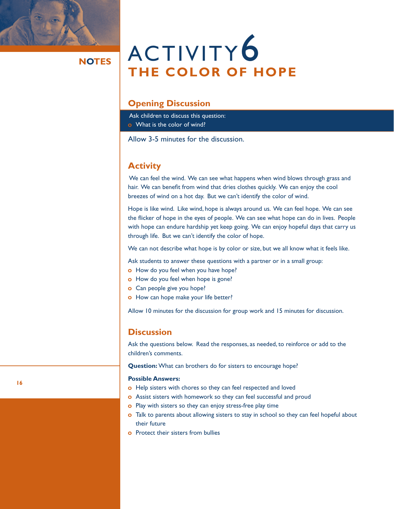

# **NOTES** ACTIVITY<sup>6</sup> **THE COLOR OF HOPE**

### **Opening Discussion**

Ask children to discuss this question:

**o** What is the color of wind?

Allow 3-5 minutes for the discussion.

### **Activity**

 We can feel the wind. We can see what happens when wind blows through grass and hair. We can benefit from wind that dries clothes quickly. We can enjoy the cool breezes of wind on a hot day. But we can't identify the color of wind.

Hope is like wind. Like wind, hope is always around us. We can feel hope. We can see the flicker of hope in the eyes of people. We can see what hope can do in lives. People with hope can endure hardship yet keep going. We can enjoy hopeful days that carry us through life. But we can't identify the color of hope.

We can not describe what hope is by color or size, but we all know what it feels like.

Ask students to answer these questions with a partner or in a small group:

- o How do you feel when you have hope?
- o How do you feel when hope is gone?
- **o** Can people give you hope?
- o How can hope make your life better?

Allow 10 minutes for the discussion for group work and 15 minutes for discussion.

### **Discussion**

Ask the questions below. Read the responses, as needed, to reinforce or add to the children's comments.

**Question:** What can brothers do for sisters to encourage hope?

### **Possible Answers:**

- o Help sisters with chores so they can feel respected and loved
- Assist sisters with homework so they can feel successful and proud
- o Play with sisters so they can enjoy stress-free play time
- o Talk to parents about allowing sisters to stay in school so they can feel hopeful about their future
- **o** Protect their sisters from bullies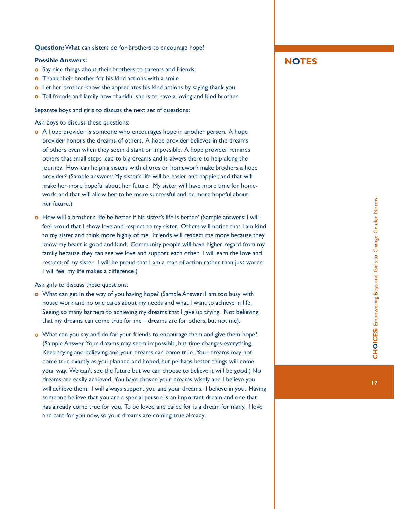**Question:** What can sisters do for brothers to encourage hope?

#### **Possible Answers:**

- **o** Say nice things about their brothers to parents and friends
- o Thank their brother for his kind actions with a smile
- o Let her brother know she appreciates his kind actions by saying thank you
- Tell friends and family how thankful she is to have a loving and kind brother

Separate boys and girls to discuss the next set of questions:

Ask boys to discuss these questions:

- A hope provider is someone who encourages hope in another person. A hope provider honors the dreams of others. A hope provider believes in the dreams of others even when they seem distant or impossible. A hope provider reminds others that small steps lead to big dreams and is always there to help along the journey. How can helping sisters with chores or homework make brothers a hope provider? (Sample answers: My sister's life will be easier and happier, and that will make her more hopeful about her future. My sister will have more time for home work, and that will allow her to be more successful and be more hopeful about her future.)
- o How will a brother's life be better if his sister's life is better? (Sample answers: I will feel proud that I show love and respect to my sister. Others will notice that I am kind to my sister and think more highly of me. Friends will respect me more because they know my heart is good and kind. Community people will have higher regard from my family because they can see we love and support each other. I will earn the love and respect of my sister. I will be proud that I am a man of action rather than just words. I will feel my life makes a difference.)

Ask girls to discuss these questions:

- What can get in the way of you having hope? (Sample Answer: I am too busy with house work and no one cares about my needs and what I want to achieve in life. Seeing so many barriers to achieving my dreams that I give up trying. Not believing that my dreams can come true for me—dreams are for others, but not me).
- What can you say and do for your friends to encourage them and give them hope? (Sample Answer: Your dreams may seem impossible, but time changes everything. Keep trying and believing and your dreams can come true. Your dreams may not come true exactly as you planned and hoped, but perhaps better things will come your way. We can't see the future but we can choose to believe it will be good.) No dreams are easily achieved. You have chosen your dreams wisely and I believe you will achieve them. I will always support you and your dreams. I believe in you. Having someone believe that you are a special person is an important dream and one that has already come true for you. To be loved and cared for is a dream for many. I love and care for you now, so your dreams are coming true already.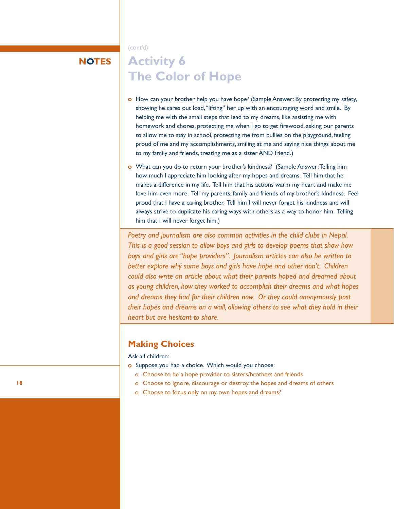#### (cont'd)

### **NOTES**

### **Activity 6 The Color of Hope**

- o How can your brother help you have hope? (Sample Answer: By protecting my safety, showing he cares out load, "lifting" her up with an encouraging word and smile. By helping me with the small steps that lead to my dreams, like assisting me with homework and chores, protecting me when I go to get firewood, asking our parents to allow me to stay in school, protecting me from bullies on the playground, feeling proud of me and my accomplishments, smiling at me and saying nice things about me to my family and friends, treating me as a sister AND friend.)
- What can you do to return your brother's kindness? (Sample Answer: Telling him how much I appreciate him looking after my hopes and dreams. Tell him that he makes a difference in my life. Tell him that his actions warm my heart and make me love him even more. Tell my parents, family and friends of my brother's kindness. Feel proud that I have a caring brother. Tell him I will never forget his kindness and will always strive to duplicate his caring ways with others as a way to honor him. Telling him that I will never forget him.)

*Poetry and journalism are also common activities in the child clubs in Nepal. This is a good session to allow boys and girls to develop poems that show how boys and girls are "hope providers". Journalism articles can also be written to better explore why some boys and girls have hope and other don't. Children could also write an article about what their parents hoped and dreamed about as young children, how they worked to accomplish their dreams and what hopes and dreams they had for their children now. Or they could anonymously post their hopes and dreams on a wall, allowing others to see what they hold in their heart but are hesitant to share.*

### **Making Choices**

Ask all children:

- o Suppose you had a choice. Which would you choose:
	- o Choose to be a hope provider to sisters/brothers and friends
	- o Choose to ignore, discourage or destroy the hopes and dreams of others
	- o Choose to focus only on my own hopes and dreams?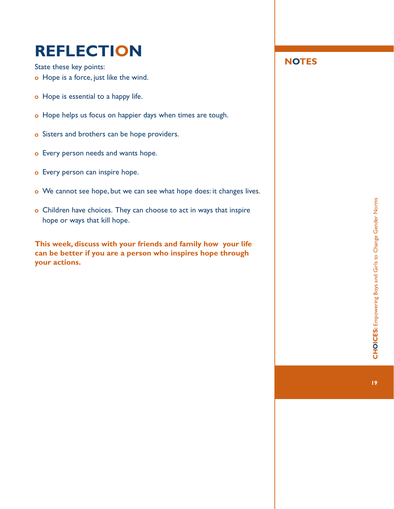### **REFLECTION**

State these key points:

- o Hope is a force, just like the wind.
- o Hope is essential to a happy life.
- o Hope helps us focus on happier days when times are tough.
- o Sisters and brothers can be hope providers.
- o Every person needs and wants hope.
- o Every person can inspire hope.
- o We cannot see hope, but we can see what hope does: it changes lives.
- Children have choices. They can choose to act in ways that inspire hope or ways that kill hope.

**This week, discuss with your friends and family how your life can be better if you are a person who inspires hope through your actions.**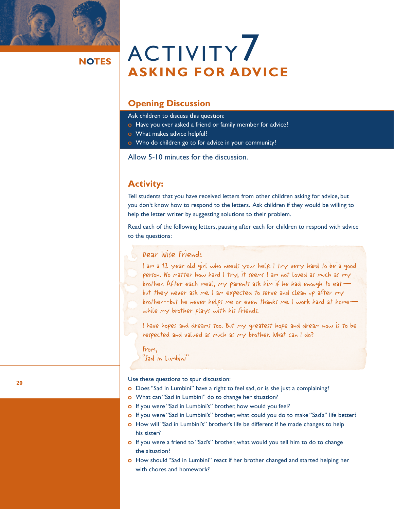

# **NOTES** ACTIVITY<sup>7</sup> **ASKING FOR ADVICE**

### **Opening Discussion**

Ask children to discuss this question:

- o Have you ever asked a friend or family member for advice?
	- **o** What makes advice helpful?
	- Who do children go to for advice in your community?

Allow 5-10 minutes for the discussion.

### **Activity:**

Tell students that you have received letters from other children asking for advice, but you don't know how to respond to the letters. Ask children if they would be willing to help the letter writer by suggesting solutions to their problem.

Read each of the following letters, pausing after each for children to respond with advice to the questions:

### Dear Wise Friend:

I am a 12 year old girl who needs your help. I try very hard to be a good person. No matter how hard I try, it seems I am not loved as much as my brother. After each meal, my parents ask him if he had enough to eat but they never ask me. I am expected to serve and clean up after my brother--but he never helps me or even thanks me. I work hard at home while my brother plays with his friends.

I have hopes and dreams too. But my greatest hope and dream now is to be respected and valued as much as my brother. What can I do?

From, "Sad in Lumbini"

Use these questions to spur discussion:

- o Does "Sad in Lumbini" have a right to feel sad, or is she just a complaining?
- What can "Sad in Lumbini" do to change her situation?
- o If you were "Sad in Lumbini's" brother, how would you feel?
- **o** If you were "Sad in Lumbini's" brother, what could you do to make "Sad's" life better?
- o How will "Sad in Lumbini's" brother's life be different if he made changes to help his sister?
- o If you were a friend to "Sad's" brother, what would you tell him to do to change the situation?
- o How should "Sad in Lumbini" react if her brother changed and started helping her with chores and homework?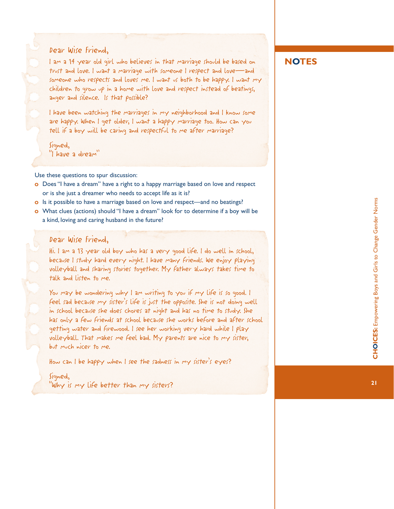### Dear Wise Friend,

I am a 14 year old girl who believes in that marriage should be based on trust and love. I want a marriage with someone I respect and love—and someone who respects and loves me. I want us both to be happy. I want my children to grow up in a home with love and respect instead of beatings, anger and silence. Is that possible?

I have been watching the marriages in my neighborhood and I know some are happy. When I get older, I want a happy marriage too. How can you tell if a boy will be caring and respectful to me after marriage?

Signed, "I have a dream"

Use these questions to spur discussion:

- Does "I have a dream" have a right to a happy marriage based on love and respect or is she just a dreamer who needs to accept life as it is?
- o Is it possible to have a marriage based on love and respect—and no beatings?
- What clues (actions) should "I have a dream" look for to determine if a boy will be a kind, loving and caring husband in the future?

### Dear Wise Friend,

Hi. I am a 13 year old boy who has a very good life. I do well in school, because I study hard every night. I have many friends. We enjoy playing volleyball and sharing stories together. My father always takes time to talk and listen to me.

You may be wondering why I am writing to you if my life is so good. I feel sad because my sister's life is just the opposite. She is not doing well in school because she does chores at night and has no time to study. She has only a few friends at school because she works before and after school getting water and firewood. I see her working very hard while I play volleyball. That makes me feel bad. My parents are nice to my sister, but much nicer to me.

How can I be happy when I see the sadness in my sister's eyes?

Signed, "Why is my life better than my sisters?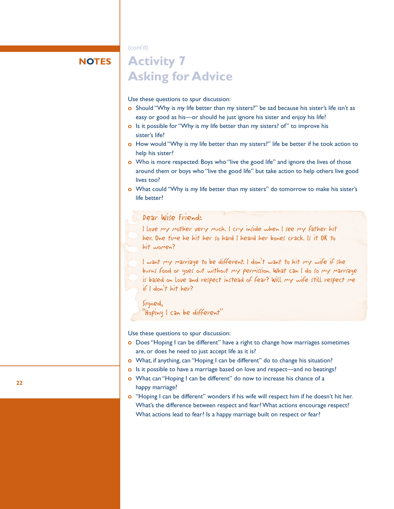#### (cont'd)

**NOTES**

### **Activity 7 Asking for Advice**

Use these questions to spur discussion:

- o Should "Why is my life better than my sisters?" be sad because his sister's life isn't as easy or good as his—or should he just ignore his sister and enjoy his life?
- **o** Is it possible for "Why is my life better than my sisters? of" to improve his sister's life?
- o How would "Why is my life better than my sisters?" life be better if he took action to help his sister?
- o Who is more respected: Boys who "live the good life" and ignore the lives of those around them or boys who "live the good life" but take action to help others live good lives too?
- What could "Why is my life better than my sisters" do tomorrow to make his sister's life better?

### Dear Wise Friend:

I love my mother very much. I cry inside when I see my father hit her. One time he hit her so hard I heard her bones crack. Is it OK to hit women?

I want my marriage to be different. I don't want to hit my wife if she burns food or goes out without my permission. What can I do so my marriage is based on love and respect instead of fear? Will my wife still respect me if I don't hit her?

Signed, "Hoping I can be different"

Use these questions to spur discussion:

- o Does "Hoping I can be different" have a right to change how marriages sometimes are, or does he need to just accept life as it is?
- What, if anything, can "Hoping I can be different" do to change his situation?
- o Is it possible to have a marriage based on love and respect—and no beatings?
- What can "Hoping I can be different" do now to increase his chance of a happy marriage?
- "Hoping I can be different" wonders if his wife will respect him if he doesn't hit her. What's the difference between respect and fear? What actions encourage respect? What actions lead to fear? Is a happy marriage built on respect or fear?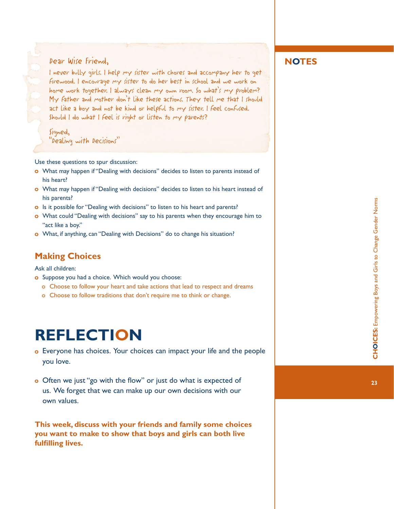### Dear Wise Friend, **NOTES**

I never bully girls. I help my sister with chores and accompany her to get firewood. I encourage my sister to do her best in school and we work on home work together. I always clean my own room. So what's my problem? My father and mother don't like these actions. They tell me that I should act like a boy and not be kind or helpful to my sister. I feel confused. Should I do what I feel is right or listen to my parents?

Signed, "Dealing with Decisions"

Use these questions to spur discussion:

- What may happen if "Dealing with decisions" decides to listen to parents instead of his heart?
- What may happen if "Dealing with decisions" decides to listen to his heart instead of his parents?
- o Is it possible for "Dealing with decisions" to listen to his heart and parents?
- o What could "Dealing with decisions" say to his parents when they encourage him to "act like a boy."
- What, if anything, can "Dealing with Decisions" do to change his situation?

### **Making Choices**

Ask all children:

- o Suppose you had a choice. Which would you choose:
	- o Choose to follow your heart and take actions that lead to respect and dreams
	- o Choose to follow traditions that don't require me to think or change.

### **REFLECTION**

- Everyone has choices. Your choices can impact your life and the people you love.
- o Often we just "go with the flow" or just do what is expected of us. We forget that we can make up our own decisions with our own values.

**This week, discuss with your friends and family some choices you want to make to show that boys and girls can both live fulfilling lives.**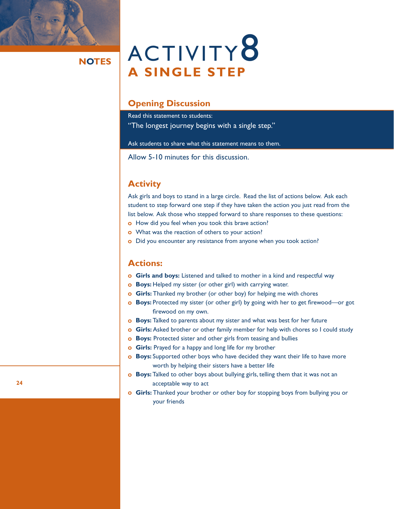

## NOTES ACTIVITY<sup>8</sup> **A SINGLE STEP**

### **Opening Discussion**

Read this statement to students:

"The longest journey begins with a single step."

Ask students to share what this statement means to them.

Allow 5-10 minutes for this discussion.

### **Activity**

Ask girls and boys to stand in a large circle. Read the list of actions below. Ask each student to step forward one step if they have taken the action you just read from the list below. Ask those who stepped forward to share responses to these questions:

- o How did you feel when you took this brave action?
- What was the reaction of others to your action?
- o Did you encounter any resistance from anyone when you took action?

### **Actions:**

- **Girls and boys:** Listened and talked to mother in a kind and respectful way
- **Boys:** Helped my sister (or other girl) with carrying water.
- **Girls:** Thanked my brother (or other boy) for helping me with chores
- **Boys:** Protected my sister (or other girl) by going with her to get firewood—or got firewood on my own.
- **Boys:** Talked to parents about my sister and what was best for her future
- **Girls:** Asked brother or other family member for help with chores so I could study
- **Boys:** Protected sister and other girls from teasing and bullies
- **Girls:** Prayed for a happy and long life for my brother
- **Boys:** Supported other boys who have decided they want their life to have more worth by helping their sisters have a better life
- **Boys:** Talked to other boys about bullying girls, telling them that it was not an acceptable way to act
- **Girls:** Thanked your brother or other boy for stopping boys from bullying you or your friends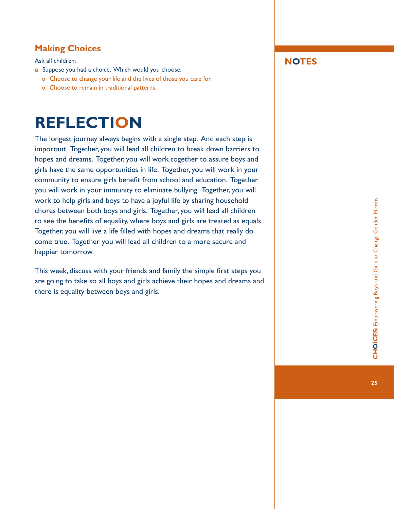### **Making Choices**

Ask all children:

- o Suppose you had a choice. Which would you choose:
	- o Choose to change your life and the lives of those you care for
	- o Choose to remain in traditional patterns.

### **REFLECTION**

The longest journey always begins with a single step. And each step is important. Together, you will lead all children to break down barriers to hopes and dreams. Together, you will work together to assure boys and girls have the same opportunities in life. Together, you will work in your community to ensure girls benefit from school and education. Together you will work in your immunity to eliminate bullying. Together, you will work to help girls and boys to have a joyful life by sharing household chores between both boys and girls. Together, you will lead all children to see the benefits of equality, where boys and girls are treated as equals. Together, you will live a life filled with hopes and dreams that really do come true. Together you will lead all children to a more secure and happier tomorrow.

This week, discuss with your friends and family the simple first steps you are going to take so all boys and girls achieve their hopes and dreams and there is equality between boys and girls.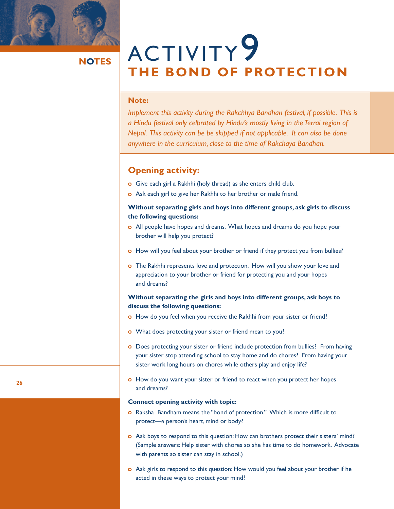

# **NOTES** ACTIVITY<sup>9</sup> **THE BOND OF PROTECTION**

### **Note:**

*Implement this activity during the Rakchhya Bandhan festival, if possible. This is a Hindu festival only celbrated by Hindu's mostly living in the Terrai region of Nepal. This activity can be be skipped if not applicable. It can also be done anywhere in the curriculum, close to the time of Rakchaya Bandhan.*

### **Opening activity:**

- Give each girl a Rakhhi (holy thread) as she enters child club.
- Ask each girl to give her Rakhhi to her brother or male friend.

### **Without separating girls and boys into different groups, ask girls to discuss the following questions:**

- All people have hopes and dreams. What hopes and dreams do you hope your brother will help you protect?
- o How will you feel about your brother or friend if they protect you from bullies?
- **o** The Rakhhi represents love and protection. How will you show your love and appreciation to your brother or friend for protecting you and your hopes and dreams?

### **Without separating the girls and boys into different groups, ask boys to discuss the following questions:**

- o How do you feel when you receive the Rakhhi from your sister or friend?
- o What does protecting your sister or friend mean to you?
- o Does protecting your sister or friend include protection from bullies? From having your sister stop attending school to stay home and do chores? From having your sister work long hours on chores while others play and enjoy life?
- o How do you want your sister or friend to react when you protect her hopes and dreams?

### **Connect opening activity with topic:**

- o Raksha Bandham means the "bond of protection." Which is more difficult to protect—a person's heart, mind or body?
- **o** Ask boys to respond to this question: How can brothers protect their sisters' mind? (Sample answers: Help sister with chores so she has time to do homework. Advocate with parents so sister can stay in school.)
- Ask girls to respond to this question: How would you feel about your brother if he acted in these ways to protect your mind?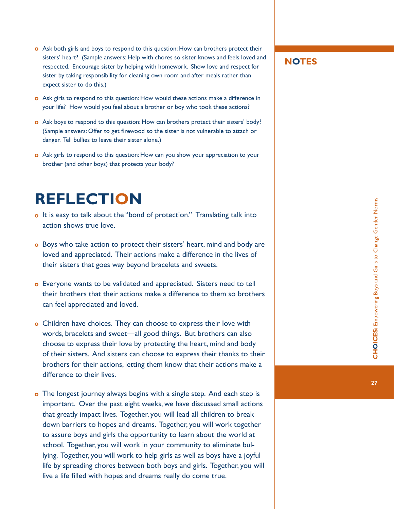- Ask both girls and boys to respond to this question: How can brothers protect their sisters' heart? (Sample answers: Help with chores so sister knows and feels loved and respected. Encourage sister by helping with homework. Show love and respect for sister by taking responsibility for cleaning own room and after meals rather than expect sister to do this.)
- Ask girls to respond to this question: How would these actions make a difference in your life? How would you feel about a brother or boy who took these actions?
- o Ask boys to respond to this question: How can brothers protect their sisters' body? (Sample answers: Offer to get firewood so the sister is not vulnerable to attach or danger. Tell bullies to leave their sister alone.)
- o Ask girls to respond to this question: How can you show your appreciation to your brother (and other boys) that protects your body?

### **REFLECTION**

- o It is easy to talk about the "bond of protection." Translating talk into action shows true love.
- Boys who take action to protect their sisters' heart, mind and body are loved and appreciated. Their actions make a difference in the lives of their sisters that goes way beyond bracelets and sweets.
- Everyone wants to be validated and appreciated. Sisters need to tell their brothers that their actions make a difference to them so brothers can feel appreciated and loved.
- Children have choices. They can choose to express their love with words, bracelets and sweet—all good things. But brothers can also choose to express their love by protecting the heart, mind and body of their sisters. And sisters can choose to express their thanks to their brothers for their actions, letting them know that their actions make a difference to their lives.
- o The longest journey always begins with a single step. And each step is important. Over the past eight weeks, we have discussed small actions that greatly impact lives. Together, you will lead all children to break down barriers to hopes and dreams. Together, you will work together to assure boys and girls the opportunity to learn about the world at school. Together, you will work in your community to eliminate bullying. Together, you will work to help girls as well as boys have a joyful life by spreading chores between both boys and girls. Together, you will live a life filled with hopes and dreams really do come true.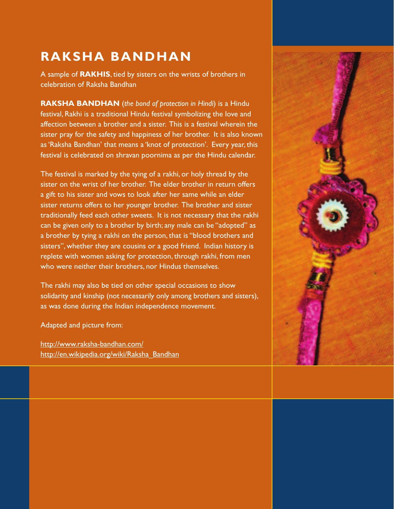### **RAKSHA BANDHAN**

A sample of **RAKHIS**, tied by sisters on the wrists of brothers in celebration of Raksha Bandhan

**RAKSHA BANDHAN** (*the bond of protection in Hindi*) is a Hindu festival, Rakhi is a traditional Hindu festival symbolizing the love and affection between a brother and a sister. This is a festival wherein the sister pray for the safety and happiness of her brother. It is also known as 'Raksha Bandhan' that means a 'knot of protection'. Every year, this festival is celebrated on shravan poornima as per the Hindu calendar.

The festival is marked by the tying of a rakhi, or holy thread by the sister on the wrist of her brother. The elder brother in return offers a gift to his sister and vows to look after her same while an elder sister returns offers to her younger brother. The brother and sister traditionally feed each other sweets. It is not necessary that the rakhi can be given only to a brother by birth; any male can be "adopted" as a brother by tying a rakhi on the person, that is "blood brothers and sisters", whether they are cousins or a good friend. Indian history is replete with women asking for protection, through rakhi, from men who were neither their brothers, nor Hindus themselves.

The rakhi may also be tied on other special occasions to show solidarity and kinship (not necessarily only among brothers and sisters), as was done during the Indian independence movement.

Adapted and picture from:

http://www.raksha-bandhan.com/ http://en.wikipedia.org/wiki/Raksha\_Bandhan